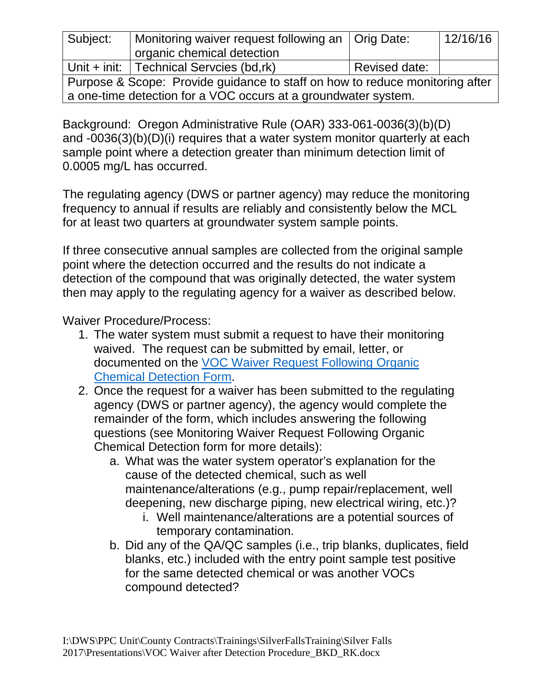| Subject:                                                                     | Monitoring waiver request following an   Orig Date: |               | 12/16/16 |
|------------------------------------------------------------------------------|-----------------------------------------------------|---------------|----------|
|                                                                              | organic chemical detection                          |               |          |
|                                                                              | Unit + init: $ $ Technical Serveies (bd,rk)         | Revised date: |          |
| Purpose & Scope: Provide guidance to staff on how to reduce monitoring after |                                                     |               |          |
| a one-time detection for a VOC occurs at a groundwater system.               |                                                     |               |          |

Background: Oregon Administrative Rule (OAR) 333-061-0036(3)(b)(D) and -0036(3)(b)(D)(i) requires that a water system monitor quarterly at each sample point where a detection greater than minimum detection limit of 0.0005 mg/L has occurred.

The regulating agency (DWS or partner agency) may reduce the monitoring frequency to annual if results are reliably and consistently below the MCL for at least two quarters at groundwater system sample points.

If three consecutive annual samples are collected from the original sample point where the detection occurred and the results do not indicate a detection of the compound that was originally detected, the water system then may apply to the regulating agency for a waiver as described below.

Waiver Procedure/Process:

- 1. The water system must submit a request to have their monitoring waived. The request can be submitted by email, letter, or documented on the [VOC Waiver Request](file://DHS.SDC.PVT/Root/Offices/Portland%20(800%20NE%20Oregon%20St)/DWS/Procedures/Tech%20Services%20Procedures/VOC%20Waiver%20Request%20Following%20Organic%20Detection%20Form_BKD_RK.docx) Following Organic [Chemical Detection](file://DHS.SDC.PVT/Root/Offices/Portland%20(800%20NE%20Oregon%20St)/DWS/Procedures/Tech%20Services%20Procedures/VOC%20Waiver%20Request%20Following%20Organic%20Detection%20Form_BKD_RK.docx) Form.
- 2. Once the request for a waiver has been submitted to the regulating agency (DWS or partner agency), the agency would complete the remainder of the form, which includes answering the following questions (see Monitoring Waiver Request Following Organic Chemical Detection form for more details):
	- a. What was the water system operator's explanation for the cause of the detected chemical, such as well maintenance/alterations (e.g., pump repair/replacement, well deepening, new discharge piping, new electrical wiring, etc.)?
		- i. Well maintenance/alterations are a potential sources of temporary contamination.
	- b. Did any of the QA/QC samples (i.e., trip blanks, duplicates, field blanks, etc.) included with the entry point sample test positive for the same detected chemical or was another VOCs compound detected?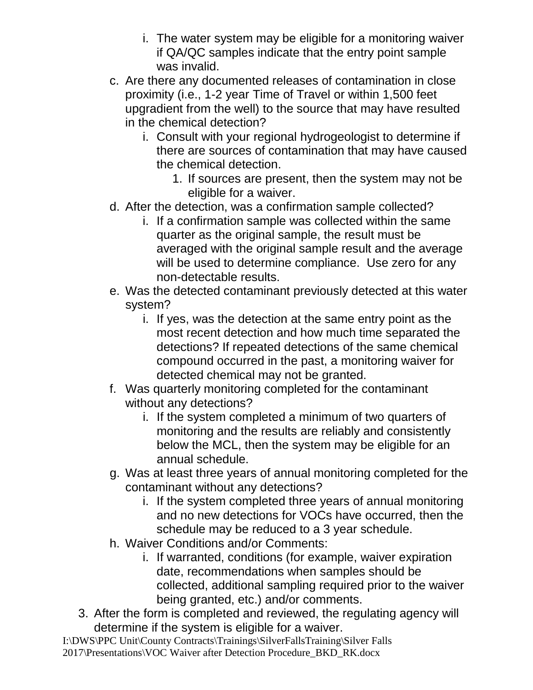- i. The water system may be eligible for a monitoring waiver if QA/QC samples indicate that the entry point sample was invalid.
- c. Are there any documented releases of contamination in close proximity (i.e., 1-2 year Time of Travel or within 1,500 feet upgradient from the well) to the source that may have resulted in the chemical detection?
	- i. Consult with your regional hydrogeologist to determine if there are sources of contamination that may have caused the chemical detection.
		- 1. If sources are present, then the system may not be eligible for a waiver.
- d. After the detection, was a confirmation sample collected?
	- i. If a confirmation sample was collected within the same quarter as the original sample, the result must be averaged with the original sample result and the average will be used to determine compliance. Use zero for any non-detectable results.
- e. Was the detected contaminant previously detected at this water system?
	- i. If yes, was the detection at the same entry point as the most recent detection and how much time separated the detections? If repeated detections of the same chemical compound occurred in the past, a monitoring waiver for detected chemical may not be granted.
- f. Was quarterly monitoring completed for the contaminant without any detections?
	- i. If the system completed a minimum of two quarters of monitoring and the results are reliably and consistently below the MCL, then the system may be eligible for an annual schedule.
- g. Was at least three years of annual monitoring completed for the contaminant without any detections?
	- i. If the system completed three years of annual monitoring and no new detections for VOCs have occurred, then the schedule may be reduced to a 3 year schedule.
- h. Waiver Conditions and/or Comments:
	- i. If warranted, conditions (for example, waiver expiration date, recommendations when samples should be collected, additional sampling required prior to the waiver being granted, etc.) and/or comments.
- 3. After the form is completed and reviewed, the regulating agency will determine if the system is eligible for a waiver.

I:\DWS\PPC Unit\County Contracts\Trainings\SilverFallsTraining\Silver Falls 2017\Presentations\VOC Waiver after Detection Procedure\_BKD\_RK.docx